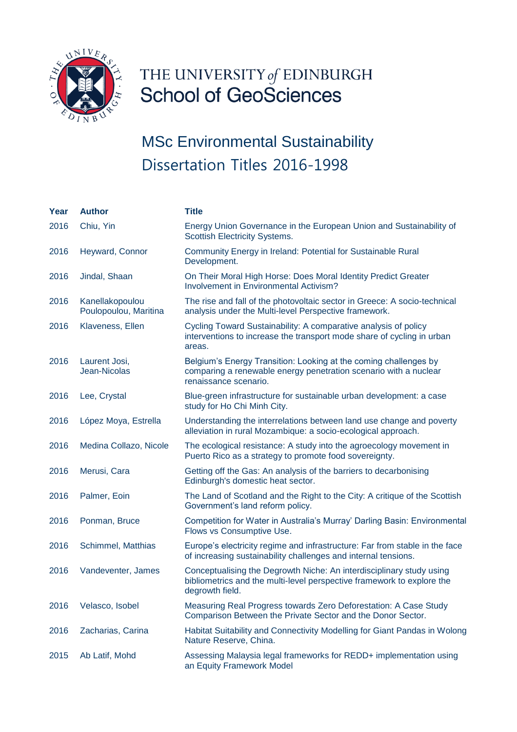

## THE UNIVERSITY of EDINBURGH<br>School of GeoSciences

| Year | <b>Author</b>                            | Title                                                                                                                                                             |
|------|------------------------------------------|-------------------------------------------------------------------------------------------------------------------------------------------------------------------|
| 2016 | Chiu, Yin                                | Energy Union Governance in the European Union and Sustainability of<br><b>Scottish Electricity Systems.</b>                                                       |
| 2016 | Heyward, Connor                          | Community Energy in Ireland: Potential for Sustainable Rural<br>Development.                                                                                      |
| 2016 | Jindal, Shaan                            | On Their Moral High Horse: Does Moral Identity Predict Greater<br><b>Involvement in Environmental Activism?</b>                                                   |
| 2016 | Kanellakopoulou<br>Poulopoulou, Maritina | The rise and fall of the photovoltaic sector in Greece: A socio-technical<br>analysis under the Multi-level Perspective framework.                                |
| 2016 | Klaveness, Ellen                         | Cycling Toward Sustainability: A comparative analysis of policy<br>interventions to increase the transport mode share of cycling in urban<br>areas.               |
| 2016 | Laurent Josi,<br>Jean-Nicolas            | Belgium's Energy Transition: Looking at the coming challenges by<br>comparing a renewable energy penetration scenario with a nuclear<br>renaissance scenario.     |
| 2016 | Lee, Crystal                             | Blue-green infrastructure for sustainable urban development: a case<br>study for Ho Chi Minh City.                                                                |
| 2016 | López Moya, Estrella                     | Understanding the interrelations between land use change and poverty<br>alleviation in rural Mozambique: a socio-ecological approach.                             |
| 2016 | Medina Collazo, Nicole                   | The ecological resistance: A study into the agroecology movement in<br>Puerto Rico as a strategy to promote food sovereignty.                                     |
| 2016 | Merusi, Cara                             | Getting off the Gas: An analysis of the barriers to decarbonising<br>Edinburgh's domestic heat sector.                                                            |
| 2016 | Palmer, Eoin                             | The Land of Scotland and the Right to the City: A critique of the Scottish<br>Government's land reform policy.                                                    |
| 2016 | Ponman, Bruce                            | Competition for Water in Australia's Murray' Darling Basin: Environmental<br>Flows vs Consumptive Use.                                                            |
| 2016 | Schimmel, Matthias                       | Europe's electricity regime and infrastructure: Far from stable in the face<br>of increasing sustainability challenges and internal tensions.                     |
| 2016 | Vandeventer, James                       | Conceptualising the Degrowth Niche: An interdisciplinary study using<br>bibliometrics and the multi-level perspective framework to explore the<br>degrowth field. |
| 2016 | Velasco, Isobel                          | Measuring Real Progress towards Zero Deforestation: A Case Study<br>Comparison Between the Private Sector and the Donor Sector.                                   |
| 2016 | Zacharias, Carina                        | Habitat Suitability and Connectivity Modelling for Giant Pandas in Wolong<br>Nature Reserve, China.                                                               |
| 2015 | Ab Latif, Mohd                           | Assessing Malaysia legal frameworks for REDD+ implementation using<br>an Equity Framework Model                                                                   |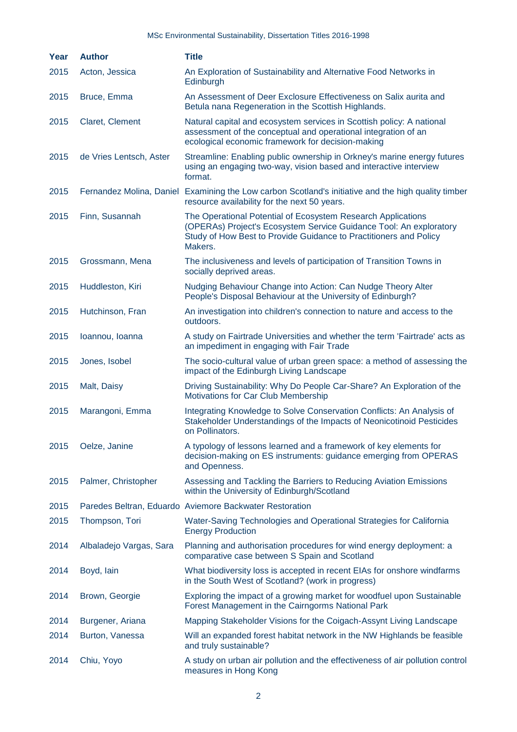| <b>Year</b> | <b>Author</b>           | <b>Title</b>                                                                                                                                                                                                       |
|-------------|-------------------------|--------------------------------------------------------------------------------------------------------------------------------------------------------------------------------------------------------------------|
| 2015        | Acton, Jessica          | An Exploration of Sustainability and Alternative Food Networks in<br>Edinburgh                                                                                                                                     |
| 2015        | Bruce, Emma             | An Assessment of Deer Exclosure Effectiveness on Salix aurita and<br>Betula nana Regeneration in the Scottish Highlands.                                                                                           |
| 2015        | Claret, Clement         | Natural capital and ecosystem services in Scottish policy: A national<br>assessment of the conceptual and operational integration of an<br>ecological economic framework for decision-making                       |
| 2015        | de Vries Lentsch, Aster | Streamline: Enabling public ownership in Orkney's marine energy futures<br>using an engaging two-way, vision based and interactive interview<br>format.                                                            |
| 2015        |                         | Fernandez Molina, Daniel Examining the Low carbon Scotland's initiative and the high quality timber<br>resource availability for the next 50 years.                                                                |
| 2015        | Finn, Susannah          | The Operational Potential of Ecosystem Research Applications<br>(OPERAs) Project's Ecosystem Service Guidance Tool: An exploratory<br>Study of How Best to Provide Guidance to Practitioners and Policy<br>Makers. |
| 2015        | Grossmann, Mena         | The inclusiveness and levels of participation of Transition Towns in<br>socially deprived areas.                                                                                                                   |
| 2015        | Huddleston, Kiri        | Nudging Behaviour Change into Action: Can Nudge Theory Alter<br>People's Disposal Behaviour at the University of Edinburgh?                                                                                        |
| 2015        | Hutchinson, Fran        | An investigation into children's connection to nature and access to the<br>outdoors.                                                                                                                               |
| 2015        | Ioannou, Ioanna         | A study on Fairtrade Universities and whether the term 'Fairtrade' acts as<br>an impediment in engaging with Fair Trade                                                                                            |
| 2015        | Jones, Isobel           | The socio-cultural value of urban green space: a method of assessing the<br>impact of the Edinburgh Living Landscape                                                                                               |
| 2015        | Malt, Daisy             | Driving Sustainability: Why Do People Car-Share? An Exploration of the<br>Motivations for Car Club Membership                                                                                                      |
| 2015        | Marangoni, Emma         | Integrating Knowledge to Solve Conservation Conflicts: An Analysis of<br>Stakeholder Understandings of the Impacts of Neonicotinoid Pesticides<br>on Pollinators.                                                  |
| 2015        | Oelze, Janine           | A typology of lessons learned and a framework of key elements for<br>decision-making on ES instruments: guidance emerging from OPERAS<br>and Openness.                                                             |
| 2015        | Palmer, Christopher     | Assessing and Tackling the Barriers to Reducing Aviation Emissions<br>within the University of Edinburgh/Scotland                                                                                                  |
| 2015        |                         | Paredes Beltran, Eduardo Aviemore Backwater Restoration                                                                                                                                                            |
| 2015        | Thompson, Tori          | Water-Saving Technologies and Operational Strategies for California<br><b>Energy Production</b>                                                                                                                    |
| 2014        | Albaladejo Vargas, Sara | Planning and authorisation procedures for wind energy deployment: a<br>comparative case between S Spain and Scotland                                                                                               |
| 2014        | Boyd, lain              | What biodiversity loss is accepted in recent EIAs for onshore windfarms<br>in the South West of Scotland? (work in progress)                                                                                       |
| 2014        | Brown, Georgie          | Exploring the impact of a growing market for woodfuel upon Sustainable<br>Forest Management in the Cairngorms National Park                                                                                        |
| 2014        | Burgener, Ariana        | Mapping Stakeholder Visions for the Coigach-Assynt Living Landscape                                                                                                                                                |
| 2014        | Burton, Vanessa         | Will an expanded forest habitat network in the NW Highlands be feasible<br>and truly sustainable?                                                                                                                  |
| 2014        | Chiu, Yoyo              | A study on urban air pollution and the effectiveness of air pollution control<br>measures in Hong Kong                                                                                                             |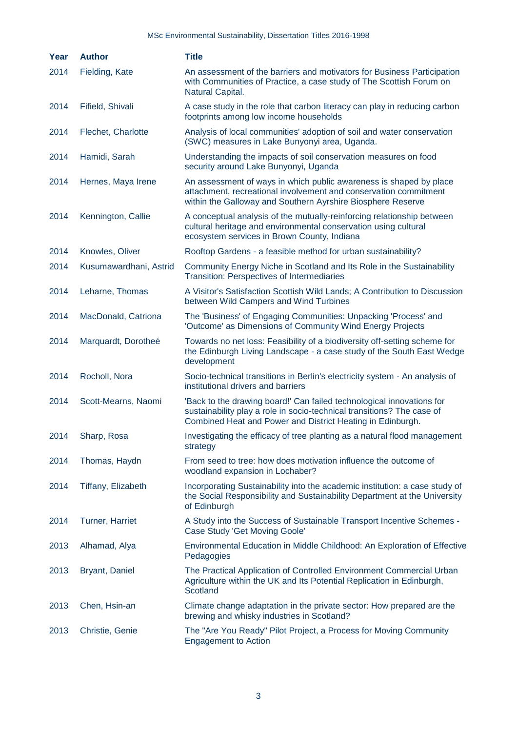| Year | <b>Author</b>             | <b>Title</b>                                                                                                                                                                                                  |
|------|---------------------------|---------------------------------------------------------------------------------------------------------------------------------------------------------------------------------------------------------------|
| 2014 | Fielding, Kate            | An assessment of the barriers and motivators for Business Participation<br>with Communities of Practice, a case study of The Scottish Forum on<br>Natural Capital.                                            |
| 2014 | Fifield, Shivali          | A case study in the role that carbon literacy can play in reducing carbon<br>footprints among low income households                                                                                           |
| 2014 | Flechet, Charlotte        | Analysis of local communities' adoption of soil and water conservation<br>(SWC) measures in Lake Bunyonyi area, Uganda.                                                                                       |
| 2014 | Hamidi, Sarah             | Understanding the impacts of soil conservation measures on food<br>security around Lake Bunyonyi, Uganda                                                                                                      |
| 2014 | Hernes, Maya Irene        | An assessment of ways in which public awareness is shaped by place<br>attachment, recreational involvement and conservation commitment<br>within the Galloway and Southern Ayrshire Biosphere Reserve         |
| 2014 | Kennington, Callie        | A conceptual analysis of the mutually-reinforcing relationship between<br>cultural heritage and environmental conservation using cultural<br>ecosystem services in Brown County, Indiana                      |
| 2014 | Knowles, Oliver           | Rooftop Gardens - a feasible method for urban sustainability?                                                                                                                                                 |
| 2014 | Kusumawardhani, Astrid    | Community Energy Niche in Scotland and Its Role in the Sustainability<br><b>Transition: Perspectives of Intermediaries</b>                                                                                    |
| 2014 | Leharne, Thomas           | A Visitor's Satisfaction Scottish Wild Lands; A Contribution to Discussion<br>between Wild Campers and Wind Turbines                                                                                          |
| 2014 | MacDonald, Catriona       | The 'Business' of Engaging Communities: Unpacking 'Process' and<br>'Outcome' as Dimensions of Community Wind Energy Projects                                                                                  |
| 2014 | Marquardt, Dorotheé       | Towards no net loss: Feasibility of a biodiversity off-setting scheme for<br>the Edinburgh Living Landscape - a case study of the South East Wedge<br>development                                             |
| 2014 | Rocholl, Nora             | Socio-technical transitions in Berlin's electricity system - An analysis of<br>institutional drivers and barriers                                                                                             |
| 2014 | Scott-Mearns, Naomi       | 'Back to the drawing board!' Can failed technological innovations for<br>sustainability play a role in socio-technical transitions? The case of<br>Combined Heat and Power and District Heating in Edinburgh. |
| 2014 | Sharp, Rosa               | Investigating the efficacy of tree planting as a natural flood management<br>strategy                                                                                                                         |
| 2014 | Thomas, Haydn             | From seed to tree: how does motivation influence the outcome of<br>woodland expansion in Lochaber?                                                                                                            |
| 2014 | <b>Tiffany, Elizabeth</b> | Incorporating Sustainability into the academic institution: a case study of<br>the Social Responsibility and Sustainability Department at the University<br>of Edinburgh                                      |
| 2014 | <b>Turner, Harriet</b>    | A Study into the Success of Sustainable Transport Incentive Schemes -<br><b>Case Study 'Get Moving Goole'</b>                                                                                                 |
| 2013 | Alhamad, Alya             | Environmental Education in Middle Childhood: An Exploration of Effective<br>Pedagogies                                                                                                                        |
| 2013 | <b>Bryant, Daniel</b>     | The Practical Application of Controlled Environment Commercial Urban<br>Agriculture within the UK and Its Potential Replication in Edinburgh,<br>Scotland                                                     |
| 2013 | Chen, Hsin-an             | Climate change adaptation in the private sector: How prepared are the<br>brewing and whisky industries in Scotland?                                                                                           |
| 2013 | Christie, Genie           | The "Are You Ready" Pilot Project, a Process for Moving Community<br><b>Engagement to Action</b>                                                                                                              |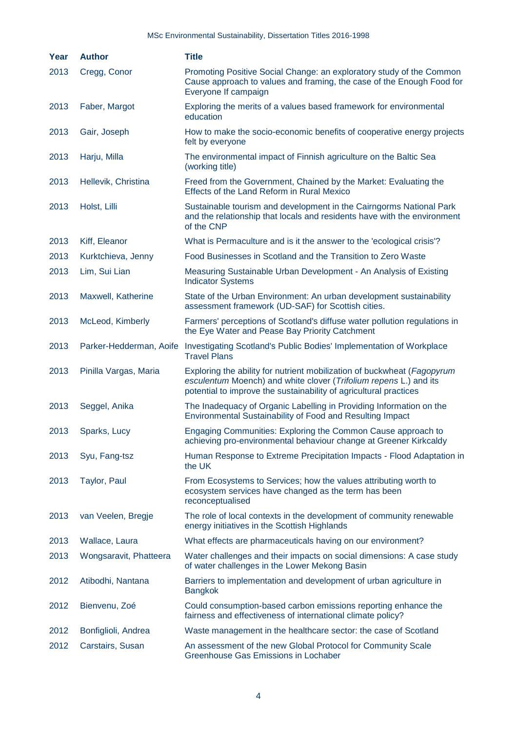| Year | <b>Author</b>           | <b>Title</b>                                                                                                                                                                                                      |
|------|-------------------------|-------------------------------------------------------------------------------------------------------------------------------------------------------------------------------------------------------------------|
| 2013 | Cregg, Conor            | Promoting Positive Social Change: an exploratory study of the Common<br>Cause approach to values and framing, the case of the Enough Food for<br>Everyone If campaign                                             |
| 2013 | Faber, Margot           | Exploring the merits of a values based framework for environmental<br>education                                                                                                                                   |
| 2013 | Gair, Joseph            | How to make the socio-economic benefits of cooperative energy projects<br>felt by everyone                                                                                                                        |
| 2013 | Harju, Milla            | The environmental impact of Finnish agriculture on the Baltic Sea<br>(working title)                                                                                                                              |
| 2013 | Hellevik, Christina     | Freed from the Government, Chained by the Market: Evaluating the<br>Effects of the Land Reform in Rural Mexico                                                                                                    |
| 2013 | Holst, Lilli            | Sustainable tourism and development in the Cairngorms National Park<br>and the relationship that locals and residents have with the environment<br>of the CNP                                                     |
| 2013 | Kiff, Eleanor           | What is Permaculture and is it the answer to the 'ecological crisis'?                                                                                                                                             |
| 2013 | Kurktchieva, Jenny      | Food Businesses in Scotland and the Transition to Zero Waste                                                                                                                                                      |
| 2013 | Lim, Sui Lian           | Measuring Sustainable Urban Development - An Analysis of Existing<br><b>Indicator Systems</b>                                                                                                                     |
| 2013 | Maxwell, Katherine      | State of the Urban Environment: An urban development sustainability<br>assessment framework (UD-SAF) for Scottish cities.                                                                                         |
| 2013 | McLeod, Kimberly        | Farmers' perceptions of Scotland's diffuse water pollution regulations in<br>the Eye Water and Pease Bay Priority Catchment                                                                                       |
| 2013 | Parker-Hedderman, Aoife | Investigating Scotland's Public Bodies' Implementation of Workplace<br><b>Travel Plans</b>                                                                                                                        |
| 2013 | Pinilla Vargas, Maria   | Exploring the ability for nutrient mobilization of buckwheat (Fagopyrum<br>esculentum Moench) and white clover (Trifolium repens L.) and its<br>potential to improve the sustainability of agricultural practices |
| 2013 | Seggel, Anika           | The Inadequacy of Organic Labelling in Providing Information on the<br>Environmental Sustainability of Food and Resulting Impact                                                                                  |
| 2013 | Sparks, Lucy            | Engaging Communities: Exploring the Common Cause approach to<br>achieving pro-environmental behaviour change at Greener Kirkcaldy                                                                                 |
| 2013 | Syu, Fang-tsz           | Human Response to Extreme Precipitation Impacts - Flood Adaptation in<br>the UK                                                                                                                                   |
| 2013 | Taylor, Paul            | From Ecosystems to Services; how the values attributing worth to<br>ecosystem services have changed as the term has been<br>reconceptualised                                                                      |
| 2013 | van Veelen, Bregje      | The role of local contexts in the development of community renewable<br>energy initiatives in the Scottish Highlands                                                                                              |
| 2013 | Wallace, Laura          | What effects are pharmaceuticals having on our environment?                                                                                                                                                       |
| 2013 | Wongsaravit, Phatteera  | Water challenges and their impacts on social dimensions: A case study<br>of water challenges in the Lower Mekong Basin                                                                                            |
| 2012 | Atibodhi, Nantana       | Barriers to implementation and development of urban agriculture in<br><b>Bangkok</b>                                                                                                                              |
| 2012 | Bienvenu, Zoé           | Could consumption-based carbon emissions reporting enhance the<br>fairness and effectiveness of international climate policy?                                                                                     |
| 2012 | Bonfiglioli, Andrea     | Waste management in the healthcare sector: the case of Scotland                                                                                                                                                   |
| 2012 | Carstairs, Susan        | An assessment of the new Global Protocol for Community Scale<br>Greenhouse Gas Emissions in Lochaber                                                                                                              |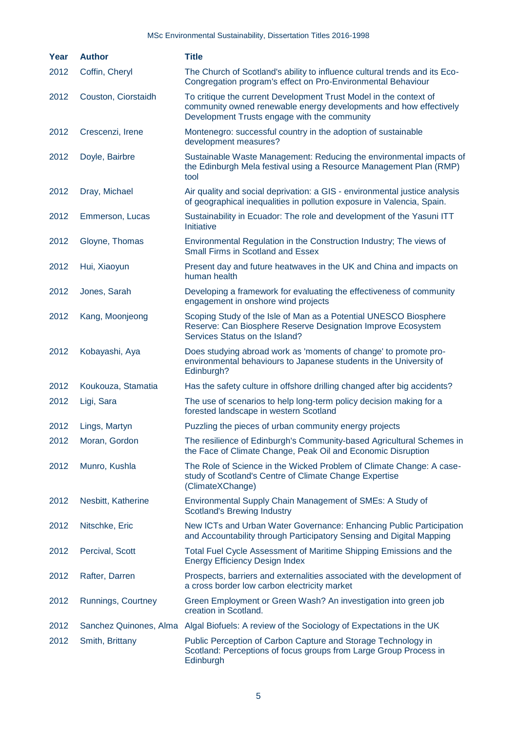| Year | <b>Author</b>       | <b>Title</b>                                                                                                                                                                           |
|------|---------------------|----------------------------------------------------------------------------------------------------------------------------------------------------------------------------------------|
| 2012 | Coffin, Cheryl      | The Church of Scotland's ability to influence cultural trends and its Eco-<br>Congregation program's effect on Pro-Environmental Behaviour                                             |
| 2012 | Couston, Ciorstaidh | To critique the current Development Trust Model in the context of<br>community owned renewable energy developments and how effectively<br>Development Trusts engage with the community |
| 2012 | Crescenzi, Irene    | Montenegro: successful country in the adoption of sustainable<br>development measures?                                                                                                 |
| 2012 | Doyle, Bairbre      | Sustainable Waste Management: Reducing the environmental impacts of<br>the Edinburgh Mela festival using a Resource Management Plan (RMP)<br>tool                                      |
| 2012 | Dray, Michael       | Air quality and social deprivation: a GIS - environmental justice analysis<br>of geographical inequalities in pollution exposure in Valencia, Spain.                                   |
| 2012 | Emmerson, Lucas     | Sustainability in Ecuador: The role and development of the Yasuni ITT<br>Initiative                                                                                                    |
| 2012 | Gloyne, Thomas      | Environmental Regulation in the Construction Industry; The views of<br>Small Firms in Scotland and Essex                                                                               |
| 2012 | Hui, Xiaoyun        | Present day and future heatwaves in the UK and China and impacts on<br>human health                                                                                                    |
| 2012 | Jones, Sarah        | Developing a framework for evaluating the effectiveness of community<br>engagement in onshore wind projects                                                                            |
| 2012 | Kang, Moonjeong     | Scoping Study of the Isle of Man as a Potential UNESCO Biosphere<br>Reserve: Can Biosphere Reserve Designation Improve Ecosystem<br>Services Status on the Island?                     |
| 2012 | Kobayashi, Aya      | Does studying abroad work as 'moments of change' to promote pro-<br>environmental behaviours to Japanese students in the University of<br>Edinburgh?                                   |
| 2012 | Koukouza, Stamatia  | Has the safety culture in offshore drilling changed after big accidents?                                                                                                               |
| 2012 | Ligi, Sara          | The use of scenarios to help long-term policy decision making for a<br>forested landscape in western Scotland                                                                          |
| 2012 | Lings, Martyn       | Puzzling the pieces of urban community energy projects                                                                                                                                 |
| 2012 | Moran, Gordon       | The resilience of Edinburgh's Community-based Agricultural Schemes in<br>the Face of Climate Change, Peak Oil and Economic Disruption                                                  |
| 2012 | Munro, Kushla       | The Role of Science in the Wicked Problem of Climate Change: A case-<br>study of Scotland's Centre of Climate Change Expertise<br>(ClimateXChange)                                     |
| 2012 | Nesbitt, Katherine  | Environmental Supply Chain Management of SMEs: A Study of<br><b>Scotland's Brewing Industry</b>                                                                                        |
| 2012 | Nitschke, Eric      | New ICTs and Urban Water Governance: Enhancing Public Participation<br>and Accountability through Participatory Sensing and Digital Mapping                                            |
| 2012 | Percival, Scott     | Total Fuel Cycle Assessment of Maritime Shipping Emissions and the<br><b>Energy Efficiency Design Index</b>                                                                            |
| 2012 | Rafter, Darren      | Prospects, barriers and externalities associated with the development of<br>a cross border low carbon electricity market                                                               |
| 2012 | Runnings, Courtney  | Green Employment or Green Wash? An investigation into green job<br>creation in Scotland.                                                                                               |
| 2012 |                     | Sanchez Quinones, Alma Algal Biofuels: A review of the Sociology of Expectations in the UK                                                                                             |
| 2012 | Smith, Brittany     | Public Perception of Carbon Capture and Storage Technology in<br>Scotland: Perceptions of focus groups from Large Group Process in<br>Edinburgh                                        |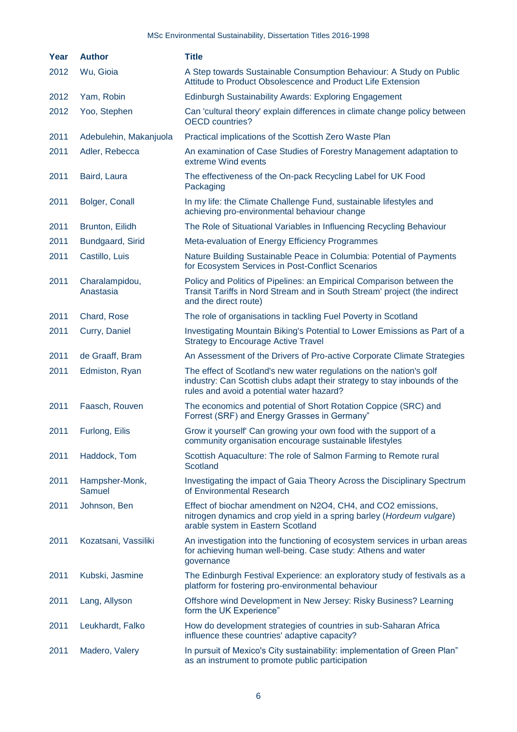| Year | <b>Author</b>               | <b>Title</b>                                                                                                                                                                                  |
|------|-----------------------------|-----------------------------------------------------------------------------------------------------------------------------------------------------------------------------------------------|
| 2012 | Wu, Gioia                   | A Step towards Sustainable Consumption Behaviour: A Study on Public<br>Attitude to Product Obsolescence and Product Life Extension                                                            |
| 2012 | Yam, Robin                  | Edinburgh Sustainability Awards: Exploring Engagement                                                                                                                                         |
| 2012 | Yoo, Stephen                | Can 'cultural theory' explain differences in climate change policy between<br><b>OECD</b> countries?                                                                                          |
| 2011 | Adebulehin, Makanjuola      | Practical implications of the Scottish Zero Waste Plan                                                                                                                                        |
| 2011 | Adler, Rebecca              | An examination of Case Studies of Forestry Management adaptation to<br>extreme Wind events                                                                                                    |
| 2011 | Baird, Laura                | The effectiveness of the On-pack Recycling Label for UK Food<br>Packaging                                                                                                                     |
| 2011 | Bolger, Conall              | In my life: the Climate Challenge Fund, sustainable lifestyles and<br>achieving pro-environmental behaviour change                                                                            |
| 2011 | Brunton, Eilidh             | The Role of Situational Variables in Influencing Recycling Behaviour                                                                                                                          |
| 2011 | Bundgaard, Sirid            | Meta-evaluation of Energy Efficiency Programmes                                                                                                                                               |
| 2011 | Castillo, Luis              | Nature Building Sustainable Peace in Columbia: Potential of Payments<br>for Ecosystem Services in Post-Conflict Scenarios                                                                     |
| 2011 | Charalampidou,<br>Anastasia | Policy and Politics of Pipelines: an Empirical Comparison between the<br>Transit Tariffs in Nord Stream and in South Stream' project (the indirect<br>and the direct route)                   |
| 2011 | Chard, Rose                 | The role of organisations in tackling Fuel Poverty in Scotland                                                                                                                                |
| 2011 | Curry, Daniel               | Investigating Mountain Biking's Potential to Lower Emissions as Part of a<br><b>Strategy to Encourage Active Travel</b>                                                                       |
| 2011 | de Graaff, Bram             | An Assessment of the Drivers of Pro-active Corporate Climate Strategies                                                                                                                       |
| 2011 | Edmiston, Ryan              | The effect of Scotland's new water regulations on the nation's golf<br>industry: Can Scottish clubs adapt their strategy to stay inbounds of the<br>rules and avoid a potential water hazard? |
| 2011 | Faasch, Rouven              | The economics and potential of Short Rotation Coppice (SRC) and<br>Forrest (SRF) and Energy Grasses in Germany"                                                                               |
| 2011 | Furlong, Eilis              | Grow it yourself' Can growing your own food with the support of a<br>community organisation encourage sustainable lifestyles                                                                  |
| 2011 | Haddock, Tom                | Scottish Aquaculture: The role of Salmon Farming to Remote rural<br>Scotland                                                                                                                  |
| 2011 | Hampsher-Monk,<br>Samuel    | Investigating the impact of Gaia Theory Across the Disciplinary Spectrum<br>of Environmental Research                                                                                         |
| 2011 | Johnson, Ben                | Effect of biochar amendment on N2O4, CH4, and CO2 emissions,<br>nitrogen dynamics and crop yield in a spring barley (Hordeum vulgare)<br>arable system in Eastern Scotland                    |
| 2011 | Kozatsani, Vassiliki        | An investigation into the functioning of ecosystem services in urban areas<br>for achieving human well-being. Case study: Athens and water<br>governance                                      |
| 2011 | Kubski, Jasmine             | The Edinburgh Festival Experience: an exploratory study of festivals as a<br>platform for fostering pro-environmental behaviour                                                               |
| 2011 | Lang, Allyson               | Offshore wind Development in New Jersey: Risky Business? Learning<br>form the UK Experience"                                                                                                  |
| 2011 | Leukhardt, Falko            | How do development strategies of countries in sub-Saharan Africa<br>influence these countries' adaptive capacity?                                                                             |
| 2011 | Madero, Valery              | In pursuit of Mexico's City sustainability: implementation of Green Plan"<br>as an instrument to promote public participation                                                                 |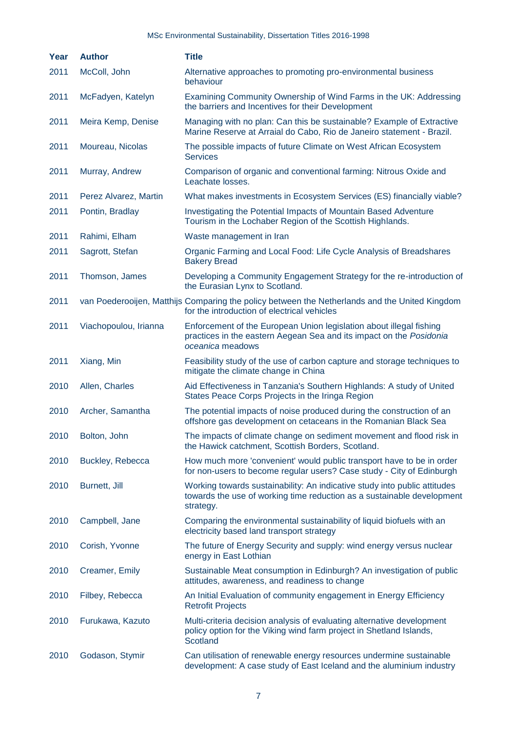| Year | <b>Author</b>         | <b>Title</b>                                                                                                                                                     |
|------|-----------------------|------------------------------------------------------------------------------------------------------------------------------------------------------------------|
| 2011 | McColl, John          | Alternative approaches to promoting pro-environmental business<br>behaviour                                                                                      |
| 2011 | McFadyen, Katelyn     | Examining Community Ownership of Wind Farms in the UK: Addressing<br>the barriers and Incentives for their Development                                           |
| 2011 | Meira Kemp, Denise    | Managing with no plan: Can this be sustainable? Example of Extractive<br>Marine Reserve at Arraial do Cabo, Rio de Janeiro statement - Brazil.                   |
| 2011 | Moureau, Nicolas      | The possible impacts of future Climate on West African Ecosystem<br><b>Services</b>                                                                              |
| 2011 | Murray, Andrew        | Comparison of organic and conventional farming: Nitrous Oxide and<br>Leachate losses.                                                                            |
| 2011 | Perez Alvarez, Martin | What makes investments in Ecosystem Services (ES) financially viable?                                                                                            |
| 2011 | Pontin, Bradlay       | Investigating the Potential Impacts of Mountain Based Adventure<br>Tourism in the Lochaber Region of the Scottish Highlands.                                     |
| 2011 | Rahimi, Elham         | Waste management in Iran                                                                                                                                         |
| 2011 | Sagrott, Stefan       | Organic Farming and Local Food: Life Cycle Analysis of Breadshares<br><b>Bakery Bread</b>                                                                        |
| 2011 | Thomson, James        | Developing a Community Engagement Strategy for the re-introduction of<br>the Eurasian Lynx to Scotland.                                                          |
| 2011 |                       | van Poederooijen, Matthijs Comparing the policy between the Netherlands and the United Kingdom<br>for the introduction of electrical vehicles                    |
| 2011 | Viachopoulou, Irianna | Enforcement of the European Union legislation about illegal fishing<br>practices in the eastern Aegean Sea and its impact on the Posidonia<br>oceanica meadows   |
| 2011 | Xiang, Min            | Feasibility study of the use of carbon capture and storage techniques to<br>mitigate the climate change in China                                                 |
| 2010 | Allen, Charles        | Aid Effectiveness in Tanzania's Southern Highlands: A study of United<br>States Peace Corps Projects in the Iringa Region                                        |
| 2010 | Archer, Samantha      | The potential impacts of noise produced during the construction of an<br>offshore gas development on cetaceans in the Romanian Black Sea                         |
| 2010 | Bolton, John          | The impacts of climate change on sediment movement and flood risk in<br>the Hawick catchment, Scottish Borders, Scotland.                                        |
| 2010 | Buckley, Rebecca      | How much more 'convenient' would public transport have to be in order<br>for non-users to become regular users? Case study - City of Edinburgh                   |
| 2010 | Burnett, Jill         | Working towards sustainability: An indicative study into public attitudes<br>towards the use of working time reduction as a sustainable development<br>strategy. |
| 2010 | Campbell, Jane        | Comparing the environmental sustainability of liquid biofuels with an<br>electricity based land transport strategy                                               |
| 2010 | Corish, Yvonne        | The future of Energy Security and supply: wind energy versus nuclear<br>energy in East Lothian                                                                   |
| 2010 | Creamer, Emily        | Sustainable Meat consumption in Edinburgh? An investigation of public<br>attitudes, awareness, and readiness to change                                           |
| 2010 | Filbey, Rebecca       | An Initial Evaluation of community engagement in Energy Efficiency<br><b>Retrofit Projects</b>                                                                   |
| 2010 | Furukawa, Kazuto      | Multi-criteria decision analysis of evaluating alternative development<br>policy option for the Viking wind farm project in Shetland Islands,<br>Scotland        |
| 2010 | Godason, Stymir       | Can utilisation of renewable energy resources undermine sustainable<br>development: A case study of East Iceland and the aluminium industry                      |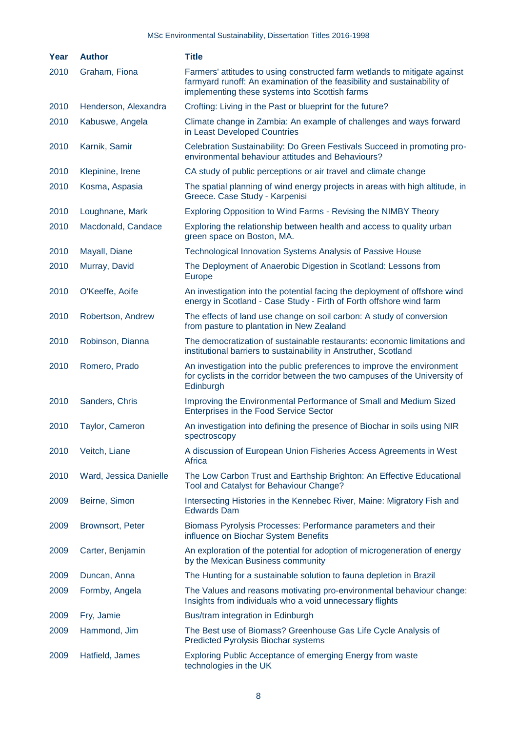| Year | <b>Author</b>           | <b>Title</b>                                                                                                                                                                                            |
|------|-------------------------|---------------------------------------------------------------------------------------------------------------------------------------------------------------------------------------------------------|
| 2010 | Graham, Fiona           | Farmers' attitudes to using constructed farm wetlands to mitigate against<br>farmyard runoff: An examination of the feasibility and sustainability of<br>implementing these systems into Scottish farms |
| 2010 | Henderson, Alexandra    | Crofting: Living in the Past or blueprint for the future?                                                                                                                                               |
| 2010 | Kabuswe, Angela         | Climate change in Zambia: An example of challenges and ways forward<br>in Least Developed Countries                                                                                                     |
| 2010 | Karnik, Samir           | Celebration Sustainability: Do Green Festivals Succeed in promoting pro-<br>environmental behaviour attitudes and Behaviours?                                                                           |
| 2010 | Klepinine, Irene        | CA study of public perceptions or air travel and climate change                                                                                                                                         |
| 2010 | Kosma, Aspasia          | The spatial planning of wind energy projects in areas with high altitude, in<br>Greece. Case Study - Karpenisi                                                                                          |
| 2010 | Loughnane, Mark         | Exploring Opposition to Wind Farms - Revising the NIMBY Theory                                                                                                                                          |
| 2010 | Macdonald, Candace      | Exploring the relationship between health and access to quality urban<br>green space on Boston, MA.                                                                                                     |
| 2010 | Mayall, Diane           | Technological Innovation Systems Analysis of Passive House                                                                                                                                              |
| 2010 | Murray, David           | The Deployment of Anaerobic Digestion in Scotland: Lessons from<br><b>Europe</b>                                                                                                                        |
| 2010 | O'Keeffe, Aoife         | An investigation into the potential facing the deployment of offshore wind<br>energy in Scotland - Case Study - Firth of Forth offshore wind farm                                                       |
| 2010 | Robertson, Andrew       | The effects of land use change on soil carbon: A study of conversion<br>from pasture to plantation in New Zealand                                                                                       |
| 2010 | Robinson, Dianna        | The democratization of sustainable restaurants: economic limitations and<br>institutional barriers to sustainability in Anstruther, Scotland                                                            |
| 2010 | Romero, Prado           | An investigation into the public preferences to improve the environment<br>for cyclists in the corridor between the two campuses of the University of<br>Edinburgh                                      |
| 2010 | Sanders, Chris          | Improving the Environmental Performance of Small and Medium Sized<br>Enterprises in the Food Service Sector                                                                                             |
| 2010 | Taylor, Cameron         | An investigation into defining the presence of Biochar in soils using NIR<br>spectroscopy                                                                                                               |
| 2010 | Veitch, Liane           | A discussion of European Union Fisheries Access Agreements in West<br>Africa                                                                                                                            |
| 2010 | Ward, Jessica Danielle  | The Low Carbon Trust and Earthship Brighton: An Effective Educational<br>Tool and Catalyst for Behaviour Change?                                                                                        |
| 2009 | Beirne, Simon           | Intersecting Histories in the Kennebec River, Maine: Migratory Fish and<br><b>Edwards Dam</b>                                                                                                           |
| 2009 | <b>Brownsort, Peter</b> | Biomass Pyrolysis Processes: Performance parameters and their<br>influence on Biochar System Benefits                                                                                                   |
| 2009 | Carter, Benjamin        | An exploration of the potential for adoption of microgeneration of energy<br>by the Mexican Business community                                                                                          |
| 2009 | Duncan, Anna            | The Hunting for a sustainable solution to fauna depletion in Brazil                                                                                                                                     |
| 2009 | Formby, Angela          | The Values and reasons motivating pro-environmental behaviour change:<br>Insights from individuals who a void unnecessary flights                                                                       |
| 2009 | Fry, Jamie              | Bus/tram integration in Edinburgh                                                                                                                                                                       |
| 2009 | Hammond, Jim            | The Best use of Biomass? Greenhouse Gas Life Cycle Analysis of<br><b>Predicted Pyrolysis Biochar systems</b>                                                                                            |
| 2009 | Hatfield, James         | <b>Exploring Public Acceptance of emerging Energy from waste</b><br>technologies in the UK                                                                                                              |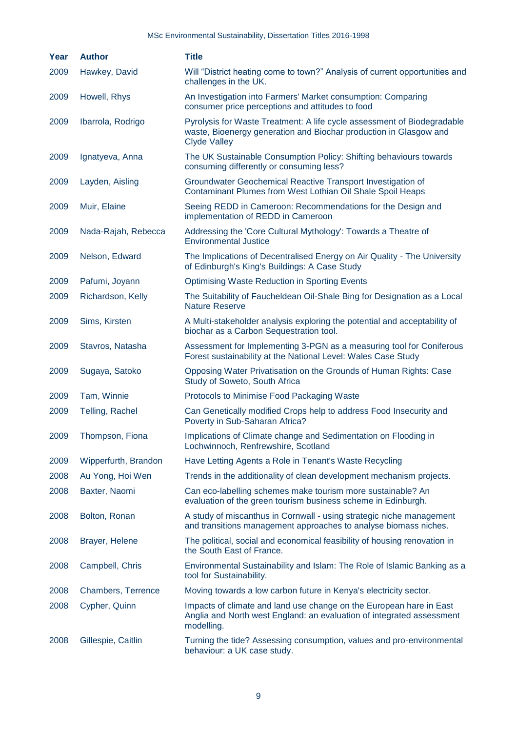| Year | <b>Author</b>        | <b>Title</b>                                                                                                                                                        |
|------|----------------------|---------------------------------------------------------------------------------------------------------------------------------------------------------------------|
| 2009 | Hawkey, David        | Will "District heating come to town?" Analysis of current opportunities and<br>challenges in the UK.                                                                |
| 2009 | Howell, Rhys         | An Investigation into Farmers' Market consumption: Comparing<br>consumer price perceptions and attitudes to food                                                    |
| 2009 | Ibarrola, Rodrigo    | Pyrolysis for Waste Treatment: A life cycle assessment of Biodegradable<br>waste, Bioenergy generation and Biochar production in Glasgow and<br><b>Clyde Valley</b> |
| 2009 | Ignatyeva, Anna      | The UK Sustainable Consumption Policy: Shifting behaviours towards<br>consuming differently or consuming less?                                                      |
| 2009 | Layden, Aisling      | Groundwater Geochemical Reactive Transport Investigation of<br>Contaminant Plumes from West Lothian Oil Shale Spoil Heaps                                           |
| 2009 | Muir, Elaine         | Seeing REDD in Cameroon: Recommendations for the Design and<br>implementation of REDD in Cameroon                                                                   |
| 2009 | Nada-Rajah, Rebecca  | Addressing the 'Core Cultural Mythology': Towards a Theatre of<br><b>Environmental Justice</b>                                                                      |
| 2009 | Nelson, Edward       | The Implications of Decentralised Energy on Air Quality - The University<br>of Edinburgh's King's Buildings: A Case Study                                           |
| 2009 | Pafumi, Joyann       | <b>Optimising Waste Reduction in Sporting Events</b>                                                                                                                |
| 2009 | Richardson, Kelly    | The Suitability of Faucheldean Oil-Shale Bing for Designation as a Local<br><b>Nature Reserve</b>                                                                   |
| 2009 | Sims, Kirsten        | A Multi-stakeholder analysis exploring the potential and acceptability of<br>biochar as a Carbon Sequestration tool.                                                |
| 2009 | Stavros, Natasha     | Assessment for Implementing 3-PGN as a measuring tool for Coniferous<br>Forest sustainability at the National Level: Wales Case Study                               |
| 2009 | Sugaya, Satoko       | Opposing Water Privatisation on the Grounds of Human Rights: Case<br>Study of Soweto, South Africa                                                                  |
| 2009 | Tam, Winnie          | Protocols to Minimise Food Packaging Waste                                                                                                                          |
| 2009 | Telling, Rachel      | Can Genetically modified Crops help to address Food Insecurity and<br>Poverty in Sub-Saharan Africa?                                                                |
| 2009 | Thompson, Fiona      | Implications of Climate change and Sedimentation on Flooding in<br>Lochwinnoch, Renfrewshire, Scotland                                                              |
| 2009 | Wipperfurth, Brandon | Have Letting Agents a Role in Tenant's Waste Recycling                                                                                                              |
| 2008 | Au Yong, Hoi Wen     | Trends in the additionality of clean development mechanism projects.                                                                                                |
| 2008 | Baxter, Naomi        | Can eco-labelling schemes make tourism more sustainable? An<br>evaluation of the green tourism business scheme in Edinburgh.                                        |
| 2008 | Bolton, Ronan        | A study of miscanthus in Cornwall - using strategic niche management<br>and transitions management approaches to analyse biomass niches.                            |
| 2008 | Brayer, Helene       | The political, social and economical feasibility of housing renovation in<br>the South East of France.                                                              |
| 2008 | Campbell, Chris      | Environmental Sustainability and Islam: The Role of Islamic Banking as a<br>tool for Sustainability.                                                                |
| 2008 | Chambers, Terrence   | Moving towards a low carbon future in Kenya's electricity sector.                                                                                                   |
| 2008 | Cypher, Quinn        | Impacts of climate and land use change on the European hare in East<br>Anglia and North west England: an evaluation of integrated assessment<br>modelling.          |
| 2008 | Gillespie, Caitlin   | Turning the tide? Assessing consumption, values and pro-environmental<br>behaviour: a UK case study.                                                                |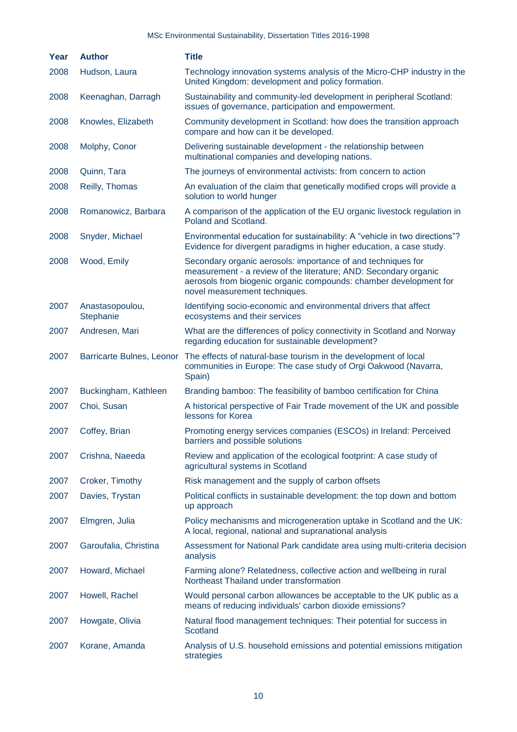| Year | <b>Author</b>                | <b>Title</b>                                                                                                                                                                                                                           |
|------|------------------------------|----------------------------------------------------------------------------------------------------------------------------------------------------------------------------------------------------------------------------------------|
| 2008 | Hudson, Laura                | Technology innovation systems analysis of the Micro-CHP industry in the<br>United Kingdom: development and policy formation.                                                                                                           |
| 2008 | Keenaghan, Darragh           | Sustainability and community-led development in peripheral Scotland:<br>issues of governance, participation and empowerment.                                                                                                           |
| 2008 | Knowles, Elizabeth           | Community development in Scotland: how does the transition approach<br>compare and how can it be developed.                                                                                                                            |
| 2008 | Molphy, Conor                | Delivering sustainable development - the relationship between<br>multinational companies and developing nations.                                                                                                                       |
| 2008 | Quinn, Tara                  | The journeys of environmental activists: from concern to action                                                                                                                                                                        |
| 2008 | Reilly, Thomas               | An evaluation of the claim that genetically modified crops will provide a<br>solution to world hunger                                                                                                                                  |
| 2008 | Romanowicz, Barbara          | A comparison of the application of the EU organic livestock regulation in<br>Poland and Scotland.                                                                                                                                      |
| 2008 | Snyder, Michael              | Environmental education for sustainability: A "vehicle in two directions"?<br>Evidence for divergent paradigms in higher education, a case study.                                                                                      |
| 2008 | Wood, Emily                  | Secondary organic aerosols: importance of and techniques for<br>measurement - a review of the literature; AND: Secondary organic<br>aerosols from biogenic organic compounds: chamber development for<br>novel measurement techniques. |
| 2007 | Anastasopoulou,<br>Stephanie | Identifying socio-economic and environmental drivers that affect<br>ecosystems and their services                                                                                                                                      |
| 2007 | Andresen, Mari               | What are the differences of policy connectivity in Scotland and Norway<br>regarding education for sustainable development?                                                                                                             |
| 2007 | Barricarte Bulnes, Leonor    | The effects of natural-base tourism in the development of local<br>communities in Europe: The case study of Orgi Oakwood (Navarra,<br>Spain)                                                                                           |
| 2007 | Buckingham, Kathleen         | Branding bamboo: The feasibility of bamboo certification for China                                                                                                                                                                     |
| 2007 | Choi, Susan                  | A historical perspective of Fair Trade movement of the UK and possible<br>lessons for Korea                                                                                                                                            |
| 2007 | Coffey, Brian                | Promoting energy services companies (ESCOs) in Ireland: Perceived<br>barriers and possible solutions                                                                                                                                   |
| 2007 | Crishna, Naeeda              | Review and application of the ecological footprint: A case study of<br>agricultural systems in Scotland                                                                                                                                |
| 2007 | Croker, Timothy              | Risk management and the supply of carbon offsets                                                                                                                                                                                       |
| 2007 | Davies, Trystan              | Political conflicts in sustainable development: the top down and bottom<br>up approach                                                                                                                                                 |
| 2007 | Elmgren, Julia               | Policy mechanisms and microgeneration uptake in Scotland and the UK:<br>A local, regional, national and supranational analysis                                                                                                         |
| 2007 | Garoufalia, Christina        | Assessment for National Park candidate area using multi-criteria decision<br>analysis                                                                                                                                                  |
| 2007 | Howard, Michael              | Farming alone? Relatedness, collective action and wellbeing in rural<br>Northeast Thailand under transformation                                                                                                                        |
| 2007 | Howell, Rachel               | Would personal carbon allowances be acceptable to the UK public as a<br>means of reducing individuals' carbon dioxide emissions?                                                                                                       |
| 2007 | Howgate, Olivia              | Natural flood management techniques: Their potential for success in<br>Scotland                                                                                                                                                        |
| 2007 | Korane, Amanda               | Analysis of U.S. household emissions and potential emissions mitigation<br>strategies                                                                                                                                                  |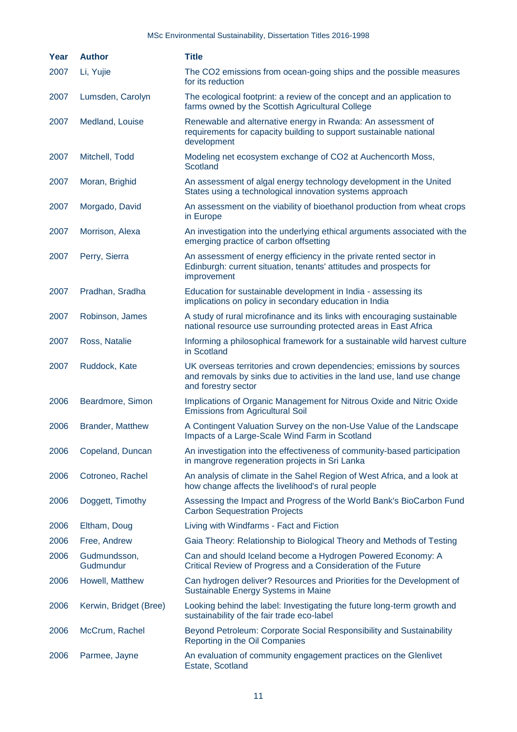| Year | <b>Author</b>             | <b>Title</b>                                                                                                                                                            |
|------|---------------------------|-------------------------------------------------------------------------------------------------------------------------------------------------------------------------|
| 2007 | Li, Yujie                 | The CO2 emissions from ocean-going ships and the possible measures<br>for its reduction                                                                                 |
| 2007 | Lumsden, Carolyn          | The ecological footprint: a review of the concept and an application to<br>farms owned by the Scottish Agricultural College                                             |
| 2007 | Medland, Louise           | Renewable and alternative energy in Rwanda: An assessment of<br>requirements for capacity building to support sustainable national<br>development                       |
| 2007 | Mitchell, Todd            | Modeling net ecosystem exchange of CO2 at Auchencorth Moss,<br>Scotland                                                                                                 |
| 2007 | Moran, Brighid            | An assessment of algal energy technology development in the United<br>States using a technological innovation systems approach                                          |
| 2007 | Morgado, David            | An assessment on the viability of bioethanol production from wheat crops<br>in Europe                                                                                   |
| 2007 | Morrison, Alexa           | An investigation into the underlying ethical arguments associated with the<br>emerging practice of carbon offsetting                                                    |
| 2007 | Perry, Sierra             | An assessment of energy efficiency in the private rented sector in<br>Edinburgh: current situation, tenants' attitudes and prospects for<br>improvement                 |
| 2007 | Pradhan, Sradha           | Education for sustainable development in India - assessing its<br>implications on policy in secondary education in India                                                |
| 2007 | Robinson, James           | A study of rural microfinance and its links with encouraging sustainable<br>national resource use surrounding protected areas in East Africa                            |
| 2007 | Ross, Natalie             | Informing a philosophical framework for a sustainable wild harvest culture<br>in Scotland                                                                               |
| 2007 | Ruddock, Kate             | UK overseas territories and crown dependencies; emissions by sources<br>and removals by sinks due to activities in the land use, land use change<br>and forestry sector |
| 2006 | Beardmore, Simon          | Implications of Organic Management for Nitrous Oxide and Nitric Oxide<br><b>Emissions from Agricultural Soil</b>                                                        |
| 2006 | <b>Brander, Matthew</b>   | A Contingent Valuation Survey on the non-Use Value of the Landscape<br>Impacts of a Large-Scale Wind Farm in Scotland                                                   |
| 2006 | Copeland, Duncan          | An investigation into the effectiveness of community-based participation<br>in mangrove regeneration projects in Sri Lanka                                              |
| 2006 | Cotroneo, Rachel          | An analysis of climate in the Sahel Region of West Africa, and a look at<br>how change affects the livelihood's of rural people                                         |
| 2006 | Doggett, Timothy          | Assessing the Impact and Progress of the World Bank's BioCarbon Fund<br><b>Carbon Sequestration Projects</b>                                                            |
| 2006 | Eltham, Doug              | Living with Windfarms - Fact and Fiction                                                                                                                                |
| 2006 | Free, Andrew              | Gaia Theory: Relationship to Biological Theory and Methods of Testing                                                                                                   |
| 2006 | Gudmundsson,<br>Gudmundur | Can and should Iceland become a Hydrogen Powered Economy: A<br>Critical Review of Progress and a Consideration of the Future                                            |
| 2006 | Howell, Matthew           | Can hydrogen deliver? Resources and Priorities for the Development of<br>Sustainable Energy Systems in Maine                                                            |
| 2006 | Kerwin, Bridget (Bree)    | Looking behind the label: Investigating the future long-term growth and<br>sustainability of the fair trade eco-label                                                   |
| 2006 | McCrum, Rachel            | Beyond Petroleum: Corporate Social Responsibility and Sustainability<br>Reporting in the Oil Companies                                                                  |
| 2006 | Parmee, Jayne             | An evaluation of community engagement practices on the Glenlivet<br>Estate, Scotland                                                                                    |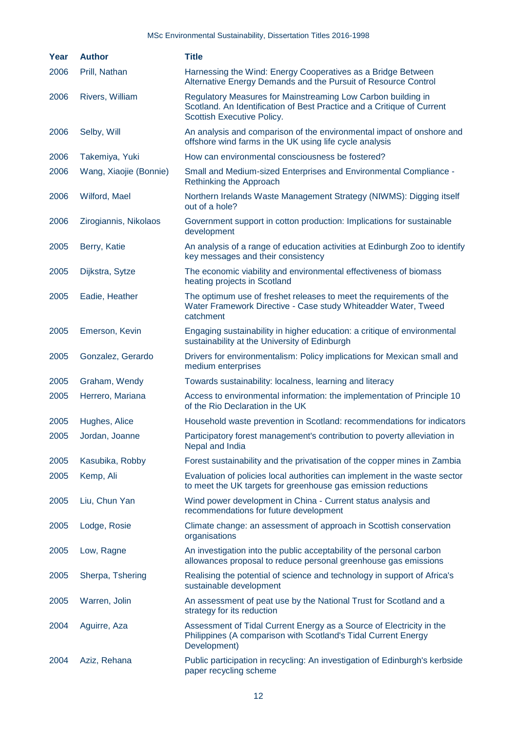| Year | <b>Author</b>          | <b>Title</b>                                                                                                                                                         |
|------|------------------------|----------------------------------------------------------------------------------------------------------------------------------------------------------------------|
| 2006 | Prill, Nathan          | Harnessing the Wind: Energy Cooperatives as a Bridge Between<br>Alternative Energy Demands and the Pursuit of Resource Control                                       |
| 2006 | Rivers, William        | Regulatory Measures for Mainstreaming Low Carbon building in<br>Scotland. An Identification of Best Practice and a Critique of Current<br>Scottish Executive Policy. |
| 2006 | Selby, Will            | An analysis and comparison of the environmental impact of onshore and<br>offshore wind farms in the UK using life cycle analysis                                     |
| 2006 | Takemiya, Yuki         | How can environmental consciousness be fostered?                                                                                                                     |
| 2006 | Wang, Xiaojie (Bonnie) | Small and Medium-sized Enterprises and Environmental Compliance -<br>Rethinking the Approach                                                                         |
| 2006 | Wilford, Mael          | Northern Irelands Waste Management Strategy (NIWMS): Digging itself<br>out of a hole?                                                                                |
| 2006 | Zirogiannis, Nikolaos  | Government support in cotton production: Implications for sustainable<br>development                                                                                 |
| 2005 | Berry, Katie           | An analysis of a range of education activities at Edinburgh Zoo to identify<br>key messages and their consistency                                                    |
| 2005 | Dijkstra, Sytze        | The economic viability and environmental effectiveness of biomass<br>heating projects in Scotland                                                                    |
| 2005 | Eadie, Heather         | The optimum use of freshet releases to meet the requirements of the<br>Water Framework Directive - Case study Whiteadder Water, Tweed<br>catchment                   |
| 2005 | Emerson, Kevin         | Engaging sustainability in higher education: a critique of environmental<br>sustainability at the University of Edinburgh                                            |
| 2005 | Gonzalez, Gerardo      | Drivers for environmentalism: Policy implications for Mexican small and<br>medium enterprises                                                                        |
| 2005 | Graham, Wendy          | Towards sustainability: localness, learning and literacy                                                                                                             |
| 2005 | Herrero, Mariana       | Access to environmental information: the implementation of Principle 10<br>of the Rio Declaration in the UK                                                          |
| 2005 | Hughes, Alice          | Household waste prevention in Scotland: recommendations for indicators                                                                                               |
| 2005 | Jordan, Joanne         | Participatory forest management's contribution to poverty alleviation in<br>Nepal and India                                                                          |
| 2005 | Kasubika, Robby        | Forest sustainability and the privatisation of the copper mines in Zambia                                                                                            |
| 2005 | Kemp, Ali              | Evaluation of policies local authorities can implement in the waste sector<br>to meet the UK targets for greenhouse gas emission reductions                          |
| 2005 | Liu, Chun Yan          | Wind power development in China - Current status analysis and<br>recommendations for future development                                                              |
| 2005 | Lodge, Rosie           | Climate change: an assessment of approach in Scottish conservation<br>organisations                                                                                  |
| 2005 | Low, Ragne             | An investigation into the public acceptability of the personal carbon<br>allowances proposal to reduce personal greenhouse gas emissions                             |
| 2005 | Sherpa, Tshering       | Realising the potential of science and technology in support of Africa's<br>sustainable development                                                                  |
| 2005 | Warren, Jolin          | An assessment of peat use by the National Trust for Scotland and a<br>strategy for its reduction                                                                     |
| 2004 | Aguirre, Aza           | Assessment of Tidal Current Energy as a Source of Electricity in the<br>Philippines (A comparison with Scotland's Tidal Current Energy<br>Development)               |
| 2004 | Aziz, Rehana           | Public participation in recycling: An investigation of Edinburgh's kerbside<br>paper recycling scheme                                                                |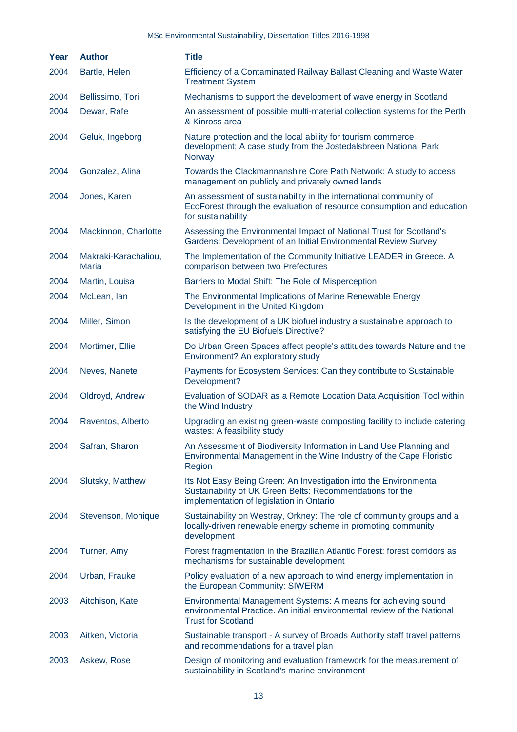| Year | <b>Author</b>                 | <b>Title</b>                                                                                                                                                               |
|------|-------------------------------|----------------------------------------------------------------------------------------------------------------------------------------------------------------------------|
| 2004 | Bartle, Helen                 | Efficiency of a Contaminated Railway Ballast Cleaning and Waste Water<br><b>Treatment System</b>                                                                           |
| 2004 | Bellissimo, Tori              | Mechanisms to support the development of wave energy in Scotland                                                                                                           |
| 2004 | Dewar, Rafe                   | An assessment of possible multi-material collection systems for the Perth<br>& Kinross area                                                                                |
| 2004 | Geluk, Ingeborg               | Nature protection and the local ability for tourism commerce<br>development; A case study from the Jostedalsbreen National Park<br>Norway                                  |
| 2004 | Gonzalez, Alina               | Towards the Clackmannanshire Core Path Network: A study to access<br>management on publicly and privately owned lands                                                      |
| 2004 | Jones, Karen                  | An assessment of sustainability in the international community of<br>EcoForest through the evaluation of resource consumption and education<br>for sustainability          |
| 2004 | Mackinnon, Charlotte          | Assessing the Environmental Impact of National Trust for Scotland's<br>Gardens: Development of an Initial Environmental Review Survey                                      |
| 2004 | Makraki-Karachaliou,<br>Maria | The Implementation of the Community Initiative LEADER in Greece. A<br>comparison between two Prefectures                                                                   |
| 2004 | Martin, Louisa                | Barriers to Modal Shift: The Role of Misperception                                                                                                                         |
| 2004 | McLean, Ian                   | The Environmental Implications of Marine Renewable Energy<br>Development in the United Kingdom                                                                             |
| 2004 | Miller, Simon                 | Is the development of a UK biofuel industry a sustainable approach to<br>satisfying the EU Biofuels Directive?                                                             |
| 2004 | Mortimer, Ellie               | Do Urban Green Spaces affect people's attitudes towards Nature and the<br>Environment? An exploratory study                                                                |
| 2004 | Neves, Nanete                 | Payments for Ecosystem Services: Can they contribute to Sustainable<br>Development?                                                                                        |
| 2004 | Oldroyd, Andrew               | Evaluation of SODAR as a Remote Location Data Acquisition Tool within<br>the Wind Industry                                                                                 |
| 2004 | Raventos, Alberto             | Upgrading an existing green-waste composting facility to include catering<br>wastes: A feasibility study                                                                   |
| 2004 | Safran, Sharon                | An Assessment of Biodiversity Information in Land Use Planning and<br>Environmental Management in the Wine Industry of the Cape Floristic<br>Region                        |
| 2004 | Slutsky, Matthew              | Its Not Easy Being Green: An Investigation into the Environmental<br>Sustainability of UK Green Belts: Recommendations for the<br>implementation of legislation in Ontario |
| 2004 | Stevenson, Monique            | Sustainability on Westray, Orkney: The role of community groups and a<br>locally-driven renewable energy scheme in promoting community<br>development                      |
| 2004 | Turner, Amy                   | Forest fragmentation in the Brazilian Atlantic Forest: forest corridors as<br>mechanisms for sustainable development                                                       |
| 2004 | Urban, Frauke                 | Policy evaluation of a new approach to wind energy implementation in<br>the European Community: SIWERM                                                                     |
| 2003 | Aitchison, Kate               | Environmental Management Systems: A means for achieving sound<br>environmental Practice. An initial environmental review of the National<br><b>Trust for Scotland</b>      |
| 2003 | Aitken, Victoria              | Sustainable transport - A survey of Broads Authority staff travel patterns<br>and recommendations for a travel plan                                                        |
| 2003 | Askew, Rose                   | Design of monitoring and evaluation framework for the measurement of<br>sustainability in Scotland's marine environment                                                    |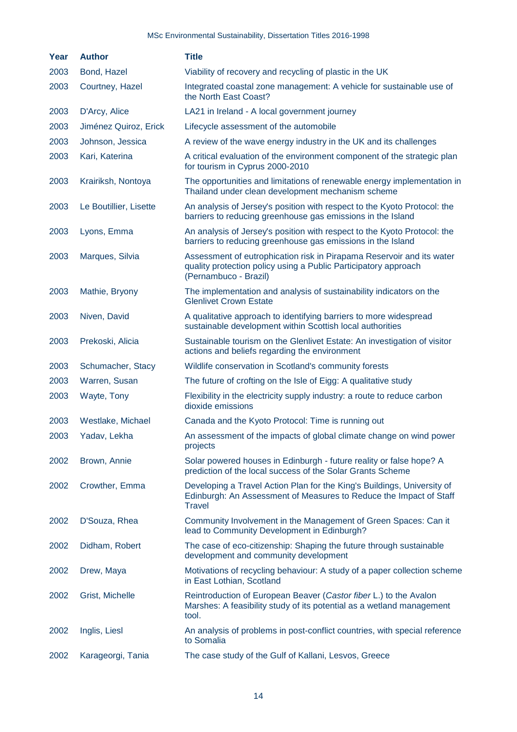| Year | <b>Author</b>          | <b>Title</b>                                                                                                                                                      |
|------|------------------------|-------------------------------------------------------------------------------------------------------------------------------------------------------------------|
| 2003 | Bond, Hazel            | Viability of recovery and recycling of plastic in the UK                                                                                                          |
| 2003 | Courtney, Hazel        | Integrated coastal zone management: A vehicle for sustainable use of<br>the North East Coast?                                                                     |
| 2003 | D'Arcy, Alice          | LA21 in Ireland - A local government journey                                                                                                                      |
| 2003 | Jiménez Quiroz, Erick  | Lifecycle assessment of the automobile                                                                                                                            |
| 2003 | Johnson, Jessica       | A review of the wave energy industry in the UK and its challenges                                                                                                 |
| 2003 | Kari, Katerina         | A critical evaluation of the environment component of the strategic plan<br>for tourism in Cyprus 2000-2010                                                       |
| 2003 | Krairiksh, Nontoya     | The opportunities and limitations of renewable energy implementation in<br>Thailand under clean development mechanism scheme                                      |
| 2003 | Le Boutillier, Lisette | An analysis of Jersey's position with respect to the Kyoto Protocol: the<br>barriers to reducing greenhouse gas emissions in the Island                           |
| 2003 | Lyons, Emma            | An analysis of Jersey's position with respect to the Kyoto Protocol: the<br>barriers to reducing greenhouse gas emissions in the Island                           |
| 2003 | Marques, Silvia        | Assessment of eutrophication risk in Pirapama Reservoir and its water<br>quality protection policy using a Public Participatory approach<br>(Pernambuco - Brazil) |
| 2003 | Mathie, Bryony         | The implementation and analysis of sustainability indicators on the<br><b>Glenlivet Crown Estate</b>                                                              |
| 2003 | Niven, David           | A qualitative approach to identifying barriers to more widespread<br>sustainable development within Scottish local authorities                                    |
| 2003 | Prekoski, Alicia       | Sustainable tourism on the Glenlivet Estate: An investigation of visitor<br>actions and beliefs regarding the environment                                         |
| 2003 | Schumacher, Stacy      | Wildlife conservation in Scotland's community forests                                                                                                             |
| 2003 | Warren, Susan          | The future of crofting on the Isle of Eigg: A qualitative study                                                                                                   |
| 2003 | Wayte, Tony            | Flexibility in the electricity supply industry: a route to reduce carbon<br>dioxide emissions                                                                     |
| 2003 | Westlake, Michael      | Canada and the Kyoto Protocol: Time is running out                                                                                                                |
| 2003 | Yadav, Lekha           | An assessment of the impacts of global climate change on wind power<br>projects                                                                                   |
| 2002 | Brown, Annie           | Solar powered houses in Edinburgh - future reality or false hope? A<br>prediction of the local success of the Solar Grants Scheme                                 |
| 2002 | Crowther, Emma         | Developing a Travel Action Plan for the King's Buildings, University of<br>Edinburgh: An Assessment of Measures to Reduce the Impact of Staff<br><b>Travel</b>    |
| 2002 | D'Souza, Rhea          | Community Involvement in the Management of Green Spaces: Can it<br>lead to Community Development in Edinburgh?                                                    |
| 2002 | Didham, Robert         | The case of eco-citizenship: Shaping the future through sustainable<br>development and community development                                                      |
| 2002 | Drew, Maya             | Motivations of recycling behaviour: A study of a paper collection scheme<br>in East Lothian, Scotland                                                             |
| 2002 | Grist, Michelle        | Reintroduction of European Beaver (Castor fiber L.) to the Avalon<br>Marshes: A feasibility study of its potential as a wetland management<br>tool.               |
| 2002 | Inglis, Liesl          | An analysis of problems in post-conflict countries, with special reference<br>to Somalia                                                                          |
| 2002 | Karageorgi, Tania      | The case study of the Gulf of Kallani, Lesvos, Greece                                                                                                             |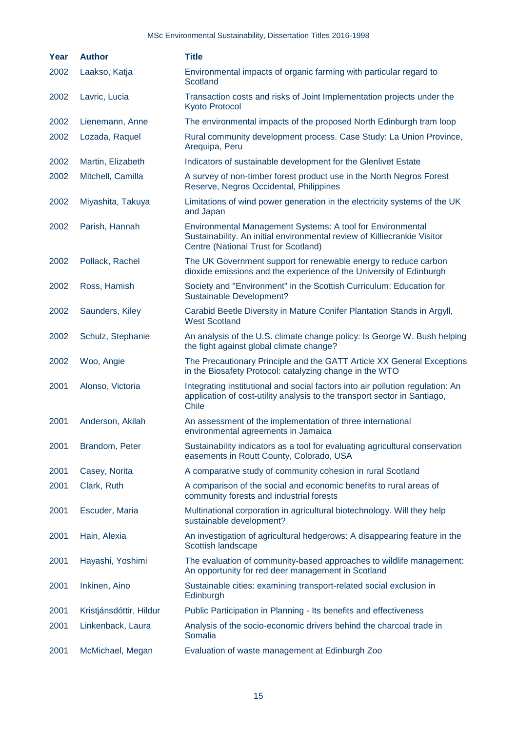| Year | <b>Author</b>           | <b>Title</b>                                                                                                                                                                   |
|------|-------------------------|--------------------------------------------------------------------------------------------------------------------------------------------------------------------------------|
| 2002 | Laakso, Katja           | Environmental impacts of organic farming with particular regard to<br>Scotland                                                                                                 |
| 2002 | Lavric, Lucia           | Transaction costs and risks of Joint Implementation projects under the<br><b>Kyoto Protocol</b>                                                                                |
| 2002 | Lienemann, Anne         | The environmental impacts of the proposed North Edinburgh tram loop                                                                                                            |
| 2002 | Lozada, Raquel          | Rural community development process. Case Study: La Union Province,<br>Arequipa, Peru                                                                                          |
| 2002 | Martin, Elizabeth       | Indicators of sustainable development for the Glenlivet Estate                                                                                                                 |
| 2002 | Mitchell, Camilla       | A survey of non-timber forest product use in the North Negros Forest<br>Reserve, Negros Occidental, Philippines                                                                |
| 2002 | Miyashita, Takuya       | Limitations of wind power generation in the electricity systems of the UK<br>and Japan                                                                                         |
| 2002 | Parish, Hannah          | Environmental Management Systems: A tool for Environmental<br>Sustainability. An initial environmental review of Killiecrankie Visitor<br>Centre (National Trust for Scotland) |
| 2002 | Pollack, Rachel         | The UK Government support for renewable energy to reduce carbon<br>dioxide emissions and the experience of the University of Edinburgh                                         |
| 2002 | Ross, Hamish            | Society and "Environment" in the Scottish Curriculum: Education for<br>Sustainable Development?                                                                                |
| 2002 | Saunders, Kiley         | Carabid Beetle Diversity in Mature Conifer Plantation Stands in Argyll,<br><b>West Scotland</b>                                                                                |
| 2002 | Schulz, Stephanie       | An analysis of the U.S. climate change policy: Is George W. Bush helping<br>the fight against global climate change?                                                           |
| 2002 | Woo, Angie              | The Precautionary Principle and the GATT Article XX General Exceptions<br>in the Biosafety Protocol: catalyzing change in the WTO                                              |
| 2001 | Alonso, Victoria        | Integrating institutional and social factors into air pollution regulation: An<br>application of cost-utility analysis to the transport sector in Santiago,<br>Chile           |
| 2001 | Anderson, Akilah        | An assessment of the implementation of three international<br>environmental agreements in Jamaica                                                                              |
| 2001 | Brandom, Peter          | Sustainability indicators as a tool for evaluating agricultural conservation<br>easements in Routt County, Colorado, USA                                                       |
| 2001 | Casey, Norita           | A comparative study of community cohesion in rural Scotland                                                                                                                    |
| 2001 | Clark, Ruth             | A comparison of the social and economic benefits to rural areas of<br>community forests and industrial forests                                                                 |
| 2001 | Escuder, Maria          | Multinational corporation in agricultural biotechnology. Will they help<br>sustainable development?                                                                            |
| 2001 | Hain, Alexia            | An investigation of agricultural hedgerows: A disappearing feature in the<br>Scottish landscape                                                                                |
| 2001 | Hayashi, Yoshimi        | The evaluation of community-based approaches to wildlife management:<br>An opportunity for red deer management in Scotland                                                     |
| 2001 | Inkinen, Aino           | Sustainable cities: examining transport-related social exclusion in<br>Edinburgh                                                                                               |
| 2001 | Kristjánsdóttir, Hildur | Public Participation in Planning - Its benefits and effectiveness                                                                                                              |
| 2001 | Linkenback, Laura       | Analysis of the socio-economic drivers behind the charcoal trade in<br>Somalia                                                                                                 |
| 2001 | McMichael, Megan        | Evaluation of waste management at Edinburgh Zoo                                                                                                                                |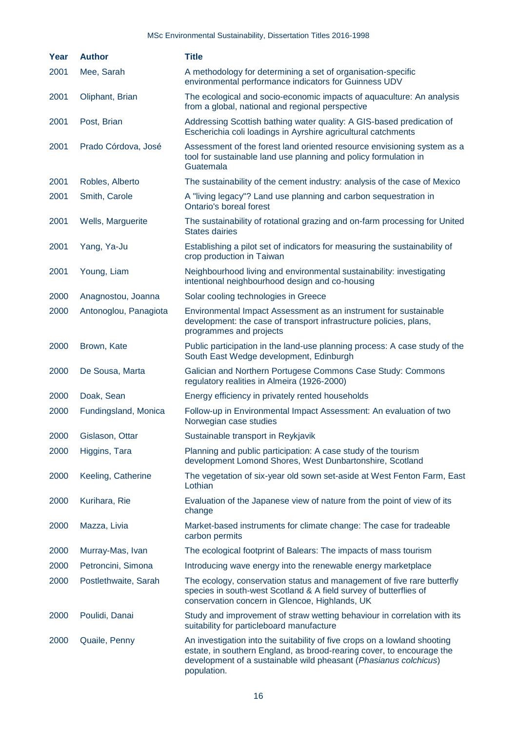| Year | <b>Author</b>         | <b>Title</b>                                                                                                                                                                                                                          |
|------|-----------------------|---------------------------------------------------------------------------------------------------------------------------------------------------------------------------------------------------------------------------------------|
| 2001 | Mee, Sarah            | A methodology for determining a set of organisation-specific<br>environmental performance indicators for Guinness UDV                                                                                                                 |
| 2001 | Oliphant, Brian       | The ecological and socio-economic impacts of aquaculture: An analysis<br>from a global, national and regional perspective                                                                                                             |
| 2001 | Post, Brian           | Addressing Scottish bathing water quality: A GIS-based predication of<br>Escherichia coli loadings in Ayrshire agricultural catchments                                                                                                |
| 2001 | Prado Córdova, José   | Assessment of the forest land oriented resource envisioning system as a<br>tool for sustainable land use planning and policy formulation in<br>Guatemala                                                                              |
| 2001 | Robles, Alberto       | The sustainability of the cement industry: analysis of the case of Mexico                                                                                                                                                             |
| 2001 | Smith, Carole         | A "living legacy"? Land use planning and carbon sequestration in<br><b>Ontario's boreal forest</b>                                                                                                                                    |
| 2001 | Wells, Marguerite     | The sustainability of rotational grazing and on-farm processing for United<br><b>States dairies</b>                                                                                                                                   |
| 2001 | Yang, Ya-Ju           | Establishing a pilot set of indicators for measuring the sustainability of<br>crop production in Taiwan                                                                                                                               |
| 2001 | Young, Liam           | Neighbourhood living and environmental sustainability: investigating<br>intentional neighbourhood design and co-housing                                                                                                               |
| 2000 | Anagnostou, Joanna    | Solar cooling technologies in Greece                                                                                                                                                                                                  |
| 2000 | Antonoglou, Panagiota | Environmental Impact Assessment as an instrument for sustainable<br>development: the case of transport infrastructure policies, plans,<br>programmes and projects                                                                     |
| 2000 | Brown, Kate           | Public participation in the land-use planning process: A case study of the<br>South East Wedge development, Edinburgh                                                                                                                 |
| 2000 | De Sousa, Marta       | Galician and Northern Portugese Commons Case Study: Commons<br>regulatory realities in Almeira (1926-2000)                                                                                                                            |
| 2000 | Doak, Sean            | Energy efficiency in privately rented households                                                                                                                                                                                      |
| 2000 | Fundingsland, Monica  | Follow-up in Environmental Impact Assessment: An evaluation of two<br>Norwegian case studies                                                                                                                                          |
| 2000 | Gislason, Ottar       | Sustainable transport in Reykjavik                                                                                                                                                                                                    |
| 2000 | Higgins, Tara         | Planning and public participation: A case study of the tourism<br>development Lomond Shores, West Dunbartonshire, Scotland                                                                                                            |
| 2000 | Keeling, Catherine    | The vegetation of six-year old sown set-aside at West Fenton Farm, East<br>Lothian                                                                                                                                                    |
| 2000 | Kurihara, Rie         | Evaluation of the Japanese view of nature from the point of view of its<br>change                                                                                                                                                     |
| 2000 | Mazza, Livia          | Market-based instruments for climate change: The case for tradeable<br>carbon permits                                                                                                                                                 |
| 2000 | Murray-Mas, Ivan      | The ecological footprint of Balears: The impacts of mass tourism                                                                                                                                                                      |
| 2000 | Petroncini, Simona    | Introducing wave energy into the renewable energy marketplace                                                                                                                                                                         |
| 2000 | Postlethwaite, Sarah  | The ecology, conservation status and management of five rare butterfly<br>species in south-west Scotland & A field survey of butterflies of<br>conservation concern in Glencoe, Highlands, UK                                         |
| 2000 | Poulidi, Danai        | Study and improvement of straw wetting behaviour in correlation with its<br>suitability for particleboard manufacture                                                                                                                 |
| 2000 | Quaile, Penny         | An investigation into the suitability of five crops on a lowland shooting<br>estate, in southern England, as brood-rearing cover, to encourage the<br>development of a sustainable wild pheasant (Phasianus colchicus)<br>population. |